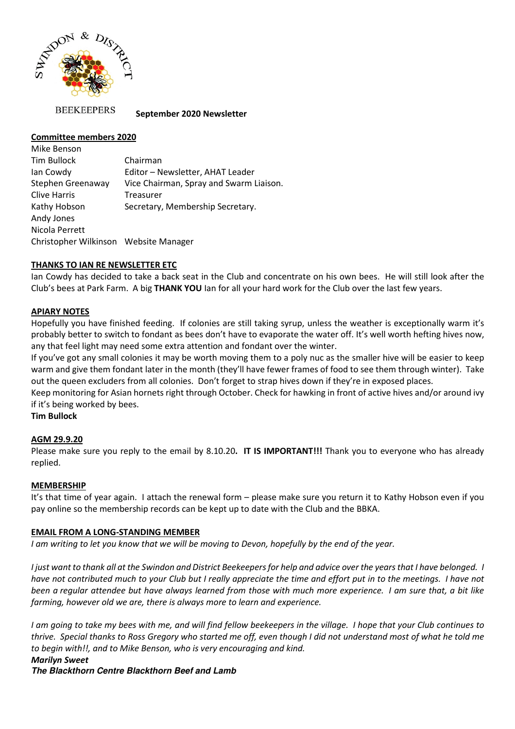

**BEEKEEPERS** 

 **September 2020 Newsletter** 

## **Committee members 2020**

Mike Benson Tim Bullock Chairman Ian Cowdy Editor – Newsletter, AHAT Leader Stephen Greenaway Vice Chairman, Spray and Swarm Liaison. Clive Harris Treasurer Kathy Hobson Secretary, Membership Secretary. Andy Jones Nicola Perrett Christopher Wilkinson Website Manager

## **THANKS TO IAN RE NEWSLETTER ETC**

Ian Cowdy has decided to take a back seat in the Club and concentrate on his own bees. He will still look after the Club's bees at Park Farm. A big **THANK YOU** Ian for all your hard work for the Club over the last few years.

## **APIARY NOTES**

Hopefully you have finished feeding. If colonies are still taking syrup, unless the weather is exceptionally warm it's probably better to switch to fondant as bees don't have to evaporate the water off. It's well worth hefting hives now, any that feel light may need some extra attention and fondant over the winter.

If you've got any small colonies it may be worth moving them to a poly nuc as the smaller hive will be easier to keep warm and give them fondant later in the month (they'll have fewer frames of food to see them through winter). Take out the queen excluders from all colonies. Don't forget to strap hives down if they're in exposed places.

Keep monitoring for Asian hornets right through October. Check for hawking in front of active hives and/or around ivy if it's being worked by bees.

**Tim Bullock** 

# **AGM 29.9.20**

Please make sure you reply to the email by 8.10.20**. IT IS IMPORTANT!!!** Thank you to everyone who has already replied.

### **MEMBERSHIP**

It's that time of year again. I attach the renewal form – please make sure you return it to Kathy Hobson even if you pay online so the membership records can be kept up to date with the Club and the BBKA.

### **EMAIL FROM A LONG-STANDING MEMBER**

*I am writing to let you know that we will be moving to Devon, hopefully by the end of the year.* 

*I just want to thank all at the Swindon and District Beekeepers for help and advice over the years that I have belonged. I have not contributed much to your Club but I really appreciate the time and effort put in to the meetings. I have not been a regular attendee but have always learned from those with much more experience. I am sure that, a bit like farming, however old we are, there is always more to learn and experience.* 

*I am going to take my bees with me, and will find fellow beekeepers in the village. I hope that your Club continues to thrive. Special thanks to Ross Gregory who started me off, even though I did not understand most of what he told me to begin with!!, and to Mike Benson, who is very encouraging and kind.* 

#### *Marilyn Sweet*  **The Blackthorn Centre Blackthorn Beef and Lamb**